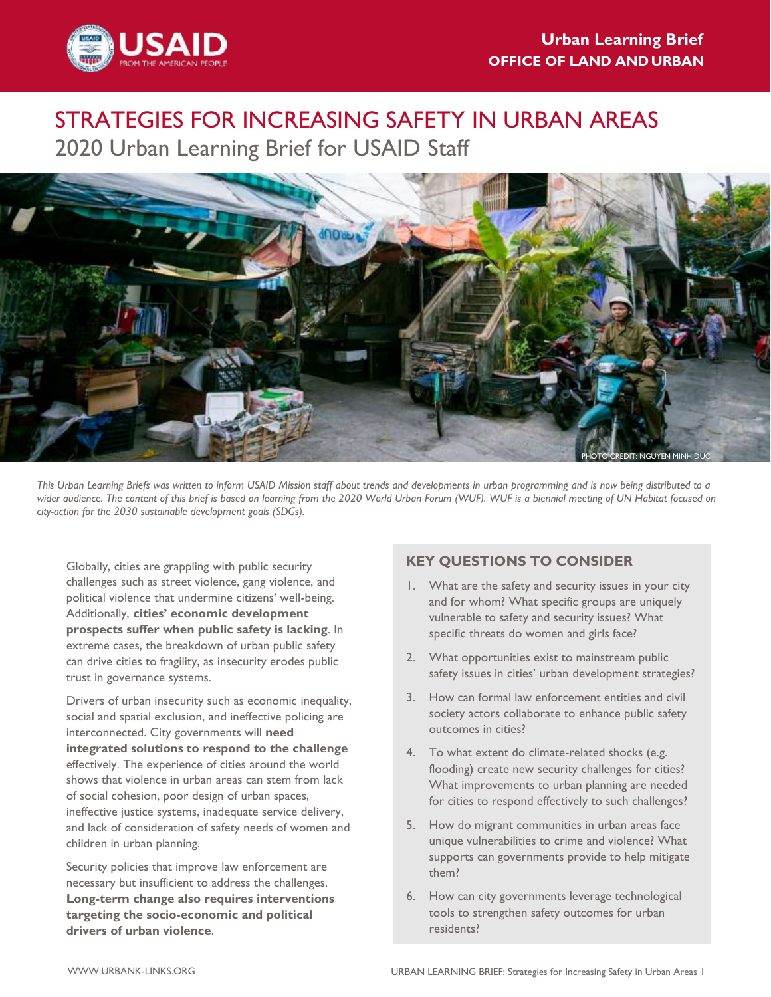

# STRATEGIES FOR INCREASING SAFETY IN URBAN AREAS 2020 Urban Learning Brief for USAID Staff



*This Urban Learning Briefs was written to inform USAID Mission staff about trends and developments in urban programming and is now being distributed to a wider audience. The content of this brief is based on learning from the 2020 World Urban Forum (WUF). WUF is a biennial meeting of UN Habitat focused on city-action for the 2030 sustainable development goals (SDGs).*

Globally, cities are grappling with public security challenges such as street violence, gang violence, and political violence that undermine citizens' well-being. Additionally, **cities' economic development prospects suffer when public safety is lacking**. In extreme cases, the breakdown of urban public safety can drive cities to fragility, as insecurity erodes public trust in governance systems.

Drivers of urban insecurity such as economic inequality, social and spatial exclusion, and ineffective policing are interconnected. City governments will **need integrated solutions to respond to the challenge** effectively. The experience of cities around the world shows that violence in urban areas can stem from lack of social cohesion, poor design of urban spaces, ineffective justice systems, inadequate service delivery, and lack of consideration of safety needs of women and children in urban planning.

Security policies that improve law enforcement are necessary but insufficient to address the challenges. **Long-term change also requires interventions targeting the socio-economic and political drivers of urban violence**.

### **KEY QUESTIONS TO CONSIDER**

- 1. What are the safety and security issues in your city and for whom? What specific groups are uniquely vulnerable to safety and security issues? What specific threats do women and girls face?
- 2. What opportunities exist to mainstream public safety issues in cities' urban development strategies?
- 3. How can formal law enforcement entities and civil society actors collaborate to enhance public safety outcomes in cities?
- 4. To what extent do climate-related shocks (e.g. flooding) create new security challenges for cities? What improvements to urban planning are needed for cities to respond effectively to such challenges?
- 5. How do migrant communities in urban areas face unique vulnerabilities to crime and violence? What supports can governments provide to help mitigate them?
- 6. How can city governments leverage technological tools to strengthen safety outcomes for urban residents?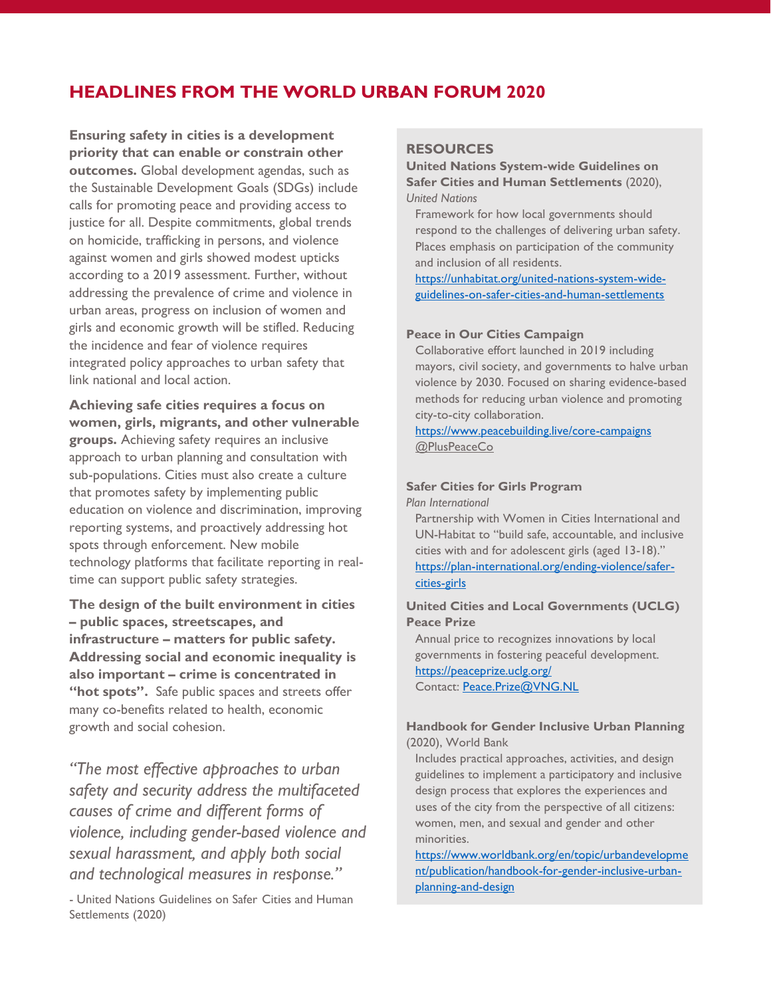## **HEADLINES FROM THE WORLD URBAN FORUM 2020**

**Ensuring safety in cities is a development priority that can enable or constrain other outcomes.** Global development agendas, such as the Sustainable Development Goals (SDGs) include calls for promoting peace and providing access to justice for all. Despite commitments, global trends on homicide, trafficking in persons, and violence against women and girls showed modest upticks according to a 2019 assessment. Further, without addressing the prevalence of crime and violence in urban areas, progress on inclusion of women and girls and economic growth will be stifled. Reducing the incidence and fear of violence requires integrated policy approaches to urban safety that link national and local action.

**Achieving safe cities requires a focus on women, girls, migrants, and other vulnerable groups.** Achieving safety requires an inclusive approach to urban planning and consultation with sub-populations. Cities must also create a culture that promotes safety by implementing public education on violence and discrimination, improving reporting systems, and proactively addressing hot spots through enforcement. New mobile technology platforms that facilitate reporting in realtime can support public safety strategies.

**The design of the built environment in cities – public spaces, streetscapes, and infrastructure – matters for public safety. Addressing social and economic inequality is also important – crime is concentrated in "hot spots".** Safe public spaces and streets offer many co-benefits related to health, economic growth and social cohesion.

*"The most effective approaches to urban safety and security address the multifaceted causes of crime and different forms of violence, including gender-based violence and sexual harassment, and apply both social and technological measures in response."*

- United Nations Guidelines on Safer Cities and Human Settlements (2020)

#### **RESOURCES**

**United Nations System-wide Guidelines on Safer Cities and Human Settlements** (2020), *United Nations*

Framework for how local governments should respond to the challenges of delivering urban safety. Places emphasis on participation of the community and inclusion of all residents.

[https://unhabitat.org/united-nations-system-wide](https://unhabitat.org/united-nations-system-wide-guidelines-on-safer-cities-and-human-settlements)[guidelines-on-safer-cities-and-human-settlements](https://unhabitat.org/united-nations-system-wide-guidelines-on-safer-cities-and-human-settlements)

#### **Peace in Our Cities Campaign**

Collaborative effort launched in 2019 including mayors, civil society, and governments to halve urban violence by 2030. Focused on sharing evidence-based methods for reducing urban violence and promoting city-to-city collaboration.

<https://www.peacebuilding.live/core-campaigns> @PlusPeaceCo

#### **Safer Cities for Girls Program**

*Plan International*

Partnership with Women in Cities International and UN-Habitat to "build safe, accountable, and inclusive cities with and for adolescent girls (aged 13-18)." [https://plan-international.org/ending-violence/safer](https://plan-international.org/ending-violence/safer-cities-girls)[cities-girls](https://plan-international.org/ending-violence/safer-cities-girls)

#### **United Cities and Local Governments (UCLG) Peace Prize**

Annual price to recognizes innovations by local governments in fostering peaceful development. <https://peaceprize.uclg.org/> Contact: [Peace.Prize@VNG.NL](mailto:Peace.Prize@VNG.NL) 

#### **Handbook for Gender Inclusive Urban Planning**  (2020), World Bank

Includes practical approaches, activities, and design guidelines to implement a participatory and inclusive design process that explores the experiences and uses of the city from the perspective of all citizens: women, men, and sexual and gender and other minorities.

[https://www.worldbank.org/en/topic/urbandevelopme](https://www.worldbank.org/en/topic/urbandevelopment/publication/handbook-for-gender-inclusive-urban-planning-and-design) [nt/publication/handbook-for-gender-inclusive-urban](https://www.worldbank.org/en/topic/urbandevelopment/publication/handbook-for-gender-inclusive-urban-planning-and-design)[planning-and-design](https://www.worldbank.org/en/topic/urbandevelopment/publication/handbook-for-gender-inclusive-urban-planning-and-design)